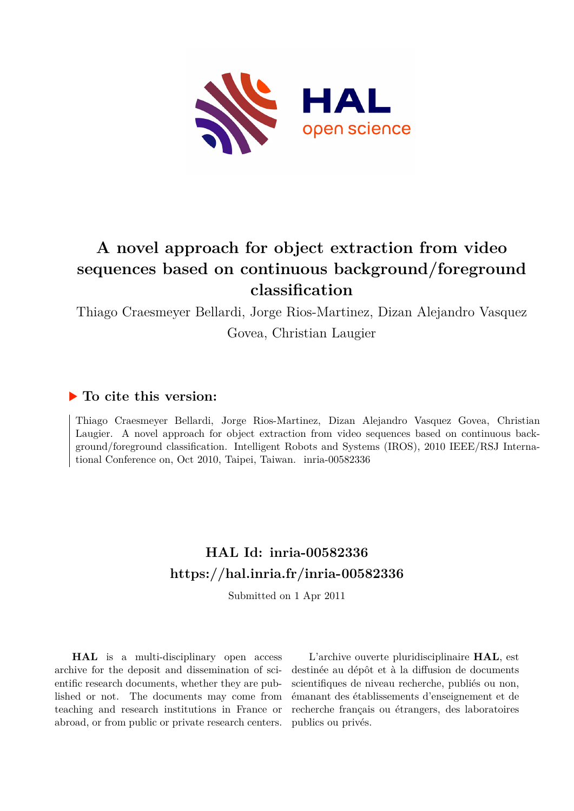

# **A novel approach for object extraction from video sequences based on continuous background/foreground classification**

Thiago Craesmeyer Bellardi, Jorge Rios-Martinez, Dizan Alejandro Vasquez

Govea, Christian Laugier

### **To cite this version:**

Thiago Craesmeyer Bellardi, Jorge Rios-Martinez, Dizan Alejandro Vasquez Govea, Christian Laugier. A novel approach for object extraction from video sequences based on continuous background/foreground classification. Intelligent Robots and Systems (IROS), 2010 IEEE/RSJ International Conference on, Oct 2010, Taipei, Taiwan.  $irria$ -00582336

## **HAL Id: inria-00582336 <https://hal.inria.fr/inria-00582336>**

Submitted on 1 Apr 2011

**HAL** is a multi-disciplinary open access archive for the deposit and dissemination of scientific research documents, whether they are published or not. The documents may come from teaching and research institutions in France or abroad, or from public or private research centers.

L'archive ouverte pluridisciplinaire **HAL**, est destinée au dépôt et à la diffusion de documents scientifiques de niveau recherche, publiés ou non, émanant des établissements d'enseignement et de recherche français ou étrangers, des laboratoires publics ou privés.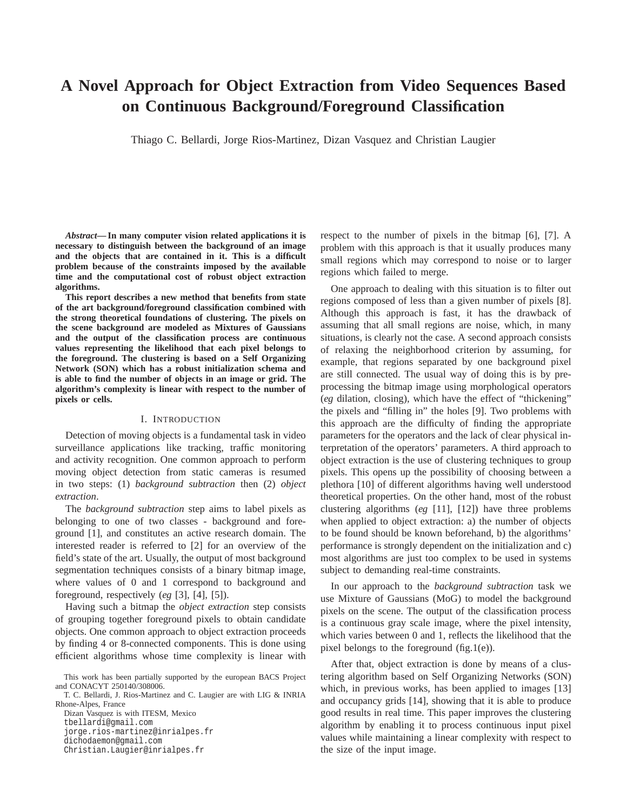### **A Novel Approach for Object Extraction from Video Sequences Based on Continuous Background/Foreground Classification**

Thiago C. Bellardi, Jorge Rios-Martinez, Dizan Vasquez and Christian Laugier

*Abstract***— In many computer vision related applications it is necessary to distinguish between the background of an image and the objects that are contained in it. This is a difficult problem because of the constraints imposed by the available time and the computational cost of robust object extraction algorithms.**

**This report describes a new method that benefits from state of the art background/foreground classification combined with the strong theoretical foundations of clustering. The pixels on the scene background are modeled as Mixtures of Gaussians and the output of the classification process are continuous values representing the likelihood that each pixel belongs to the foreground. The clustering is based on a Self Organizing Network (SON) which has a robust initialization schema and is able to find the number of objects in an image or grid. The algorithm's complexity is linear with respect to the number of pixels or cells.**

#### I. INTRODUCTION

Detection of moving objects is a fundamental task in video surveillance applications like tracking, traffic monitoring and activity recognition. One common approach to perform moving object detection from static cameras is resumed in two steps: (1) *background subtraction* then (2) *object extraction*.

The *background subtraction* step aims to label pixels as belonging to one of two classes - background and foreground [1], and constitutes an active research domain. The interested reader is referred to [2] for an overview of the field's state of the art. Usually, the output of most background segmentation techniques consists of a binary bitmap image, where values of 0 and 1 correspond to background and foreground, respectively (*eg* [3], [4], [5]).

Having such a bitmap the *object extraction* step consists of grouping together foreground pixels to obtain candidate objects. One common approach to object extraction proceeds by finding 4 or 8-connected components. This is done using efficient algorithms whose time complexity is linear with

T. C. Bellardi, J. Rios-Martinez and C. Laugier are with LIG & INRIA Rhone-Alpes, France

Dizan Vasquez is with ITESM, Mexico tbellardi@gmail.com jorge.rios-martinez@inrialpes.fr dichodaemon@gmail.com Christian.Laugier@inrialpes.fr

respect to the number of pixels in the bitmap [6], [7]. A problem with this approach is that it usually produces many small regions which may correspond to noise or to larger regions which failed to merge.

One approach to dealing with this situation is to filter out regions composed of less than a given number of pixels [8]. Although this approach is fast, it has the drawback of assuming that all small regions are noise, which, in many situations, is clearly not the case. A second approach consists of relaxing the neighborhood criterion by assuming, for example, that regions separated by one background pixel are still connected. The usual way of doing this is by preprocessing the bitmap image using morphological operators (*eg* dilation, closing), which have the effect of "thickening" the pixels and "filling in" the holes [9]. Two problems with this approach are the difficulty of finding the appropriate parameters for the operators and the lack of clear physical interpretation of the operators' parameters. A third approach to object extraction is the use of clustering techniques to group pixels. This opens up the possibility of choosing between a plethora [10] of different algorithms having well understood theoretical properties. On the other hand, most of the robust clustering algorithms (*eg* [11], [12]) have three problems when applied to object extraction: a) the number of objects to be found should be known beforehand, b) the algorithms' performance is strongly dependent on the initialization and c) most algorithms are just too complex to be used in systems subject to demanding real-time constraints.

In our approach to the *background subtraction* task we use Mixture of Gaussians (MoG) to model the background pixels on the scene. The output of the classification process is a continuous gray scale image, where the pixel intensity, which varies between 0 and 1, reflects the likelihood that the pixel belongs to the foreground (fig.1(e)).

After that, object extraction is done by means of a clustering algorithm based on Self Organizing Networks (SON) which, in previous works, has been applied to images [13] and occupancy grids [14], showing that it is able to produce good results in real time. This paper improves the clustering algorithm by enabling it to process continuous input pixel values while maintaining a linear complexity with respect to the size of the input image.

This work has been partially supported by the european BACS Project and CONACYT 250140/308006.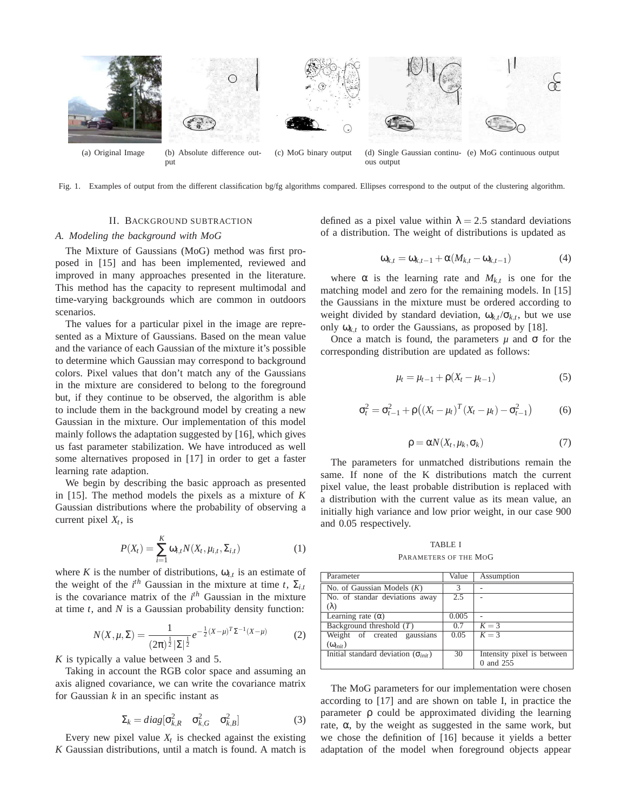

Fig. 1. Examples of output from the different classification bg/fg algorithms compared. Ellipses correspond to the output of the clustering algorithm.

#### II. BACKGROUND SUBTRACTION

#### *A. Modeling the background with MoG*

The Mixture of Gaussians (MoG) method was first proposed in [15] and has been implemented, reviewed and improved in many approaches presented in the literature. This method has the capacity to represent multimodal and time-varying backgrounds which are common in outdoors scenarios.

The values for a particular pixel in the image are represented as a Mixture of Gaussians. Based on the mean value and the variance of each Gaussian of the mixture it's possible to determine which Gaussian may correspond to background colors. Pixel values that don't match any of the Gaussians in the mixture are considered to belong to the foreground but, if they continue to be observed, the algorithm is able to include them in the background model by creating a new Gaussian in the mixture. Our implementation of this model mainly follows the adaptation suggested by [16], which gives us fast parameter stabilization. We have introduced as well some alternatives proposed in [17] in order to get a faster learning rate adaption.

We begin by describing the basic approach as presented in [15]. The method models the pixels as a mixture of *K* Gaussian distributions where the probability of observing a current pixel *X<sup>t</sup>* , is

$$
P(X_t) = \sum_{i=1}^{K} \omega_{i,t} N(X_t, \mu_{i,t}, \Sigma_{i,t})
$$
 (1)

where *K* is the number of distributions,  $\omega_{i,t}$  is an estimate of the weight of the  $i^{th}$  Gaussian in the mixture at time *t*,  $\Sigma_{i,t}$ is the covariance matrix of the *i th* Gaussian in the mixture at time *t*, and *N* is a Gaussian probability density function:

$$
N(X, \mu, \Sigma) = \frac{1}{(2\pi)^{\frac{1}{2}} |\Sigma|^{\frac{1}{2}}} e^{-\frac{1}{2}(X-\mu)^{T}\Sigma^{-1}(X-\mu)}
$$
(2)

*K* is typically a value between 3 and 5.

Taking in account the RGB color space and assuming an axis aligned covariance, we can write the covariance matrix for Gaussian *k* in an specific instant as

$$
\Sigma_k = diag[\sigma_{k,R}^2 \quad \sigma_{k,G}^2 \quad \sigma_{k,B}^2]
$$
 (3)

Every new pixel value  $X_t$  is checked against the existing *K* Gaussian distributions, until a match is found. A match is defined as a pixel value within  $\lambda = 2.5$  standard deviations of a distribution. The weight of distributions is updated as

$$
\omega_{k,t} = \omega_{k,t-1} + \alpha(M_{k,t} - \omega_{k,t-1})
$$
\n(4)

where  $\alpha$  is the learning rate and  $M_{k,t}$  is one for the matching model and zero for the remaining models. In [15] the Gaussians in the mixture must be ordered according to weight divided by standard deviation,  $\omega_{k,t}/\sigma_{k,t}$ , but we use only  $\omega_{k,t}$  to order the Gaussians, as proposed by [18].

Once a match is found, the parameters  $\mu$  and  $\sigma$  for the corresponding distribution are updated as follows:

$$
\mu_t = \mu_{t-1} + \rho(X_t - \mu_{t-1})
$$
\n(5)

$$
\sigma_t^2 = \sigma_{t-1}^2 + \rho \left( (X_t - \mu_t)^T (X_t - \mu_t) - \sigma_{t-1}^2 \right) \tag{6}
$$

$$
\rho = \alpha N(X_t, \mu_k, \sigma_k) \tag{7}
$$

The parameters for unmatched distributions remain the same. If none of the K distributions match the current pixel value, the least probable distribution is replaced with a distribution with the current value as its mean value, an initially high variance and low prior weight, in our case 900 and 0.05 respectively.

TABLE I PARAMETERS OF THE MOG

| Value         | Assumption                 |
|---------------|----------------------------|
| $\mathcal{R}$ |                            |
| 2.5           |                            |
|               |                            |
| 0.005         |                            |
| 0.7           | $K = 3$                    |
| 0.05          | $K = 3$                    |
|               |                            |
| 30            | Intensity pixel is between |
|               | 0 and 255                  |
|               |                            |

The MoG parameters for our implementation were chosen according to [17] and are shown on table I, in practice the parameter ρ could be approximated dividing the learning rate,  $\alpha$ , by the weight as suggested in the same work, but we chose the definition of [16] because it yields a better adaptation of the model when foreground objects appear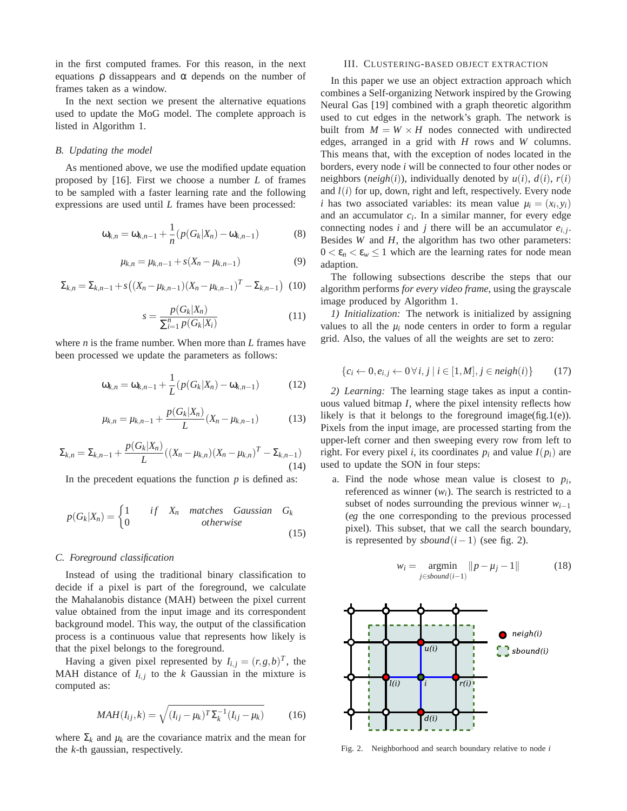in the first computed frames. For this reason, in the next equations  $ρ$  dissappears and  $α$  depends on the number of frames taken as a window.

In the next section we present the alternative equations used to update the MoG model. The complete approach is listed in Algorithm 1.

#### *B. Updating the model*

As mentioned above, we use the modified update equation proposed by [16]. First we choose a number *L* of frames to be sampled with a faster learning rate and the following expressions are used until *L* frames have been processed:

$$
\omega_{k,n} = \omega_{k,n-1} + \frac{1}{n} (p(G_k|X_n) - \omega_{k,n-1})
$$
 (8)

$$
\mu_{k,n} = \mu_{k,n-1} + s(X_n - \mu_{k,n-1})
$$
\n(9)

$$
\Sigma_{k,n} = \Sigma_{k,n-1} + s\big((X_n - \mu_{k,n-1})(X_n - \mu_{k,n-1})^T - \Sigma_{k,n-1}\big) \tag{10}
$$

$$
s = \frac{p(G_k|X_n)}{\sum_{i=1}^n p(G_k|X_i)}
$$
(11)

where *n* is the frame number. When more than *L* frames have been processed we update the parameters as follows:

$$
\omega_{k,n} = \omega_{k,n-1} + \frac{1}{L} (p(G_k|X_n) - \omega_{k,n-1})
$$
 (12)

$$
\mu_{k,n} = \mu_{k,n-1} + \frac{p(G_k|X_n)}{L}(X_n - \mu_{k,n-1})
$$
(13)

$$
\Sigma_{k,n} = \Sigma_{k,n-1} + \frac{p(G_k|X_n)}{L}((X_n - \mu_{k,n})(X_n - \mu_{k,n})^T - \Sigma_{k,n-1})
$$
\n(14)

In the precedent equations the function  $p$  is defined as:

$$
p(G_k|X_n) = \begin{cases} 1 & if \quad X_n \quad matches \quad Gaussian \quad G_k \\ 0 & otherwise \end{cases}
$$
 (15)

#### *C. Foreground classification*

Instead of using the traditional binary classification to decide if a pixel is part of the foreground, we calculate the Mahalanobis distance (MAH) between the pixel current value obtained from the input image and its correspondent background model. This way, the output of the classification process is a continuous value that represents how likely is that the pixel belongs to the foreground.

Having a given pixel represented by  $I_{i,j} = (r, g, b)^T$ , the MAH distance of  $I_{i,j}$  to the  $k$  Gaussian in the mixture is computed as:

$$
MAH(I_{ij},k) = \sqrt{(I_{ij} - \mu_k)^T \Sigma_k^{-1} (I_{ij} - \mu_k)}
$$
(16)

where  $\Sigma_k$  and  $\mu_k$  are the covariance matrix and the mean for the *k*-th gaussian, respectively.

#### III. CLUSTERING-BASED OBJECT EXTRACTION

In this paper we use an object extraction approach which combines a Self-organizing Network inspired by the Growing Neural Gas [19] combined with a graph theoretic algorithm used to cut edges in the network's graph. The network is built from  $M = W \times H$  nodes connected with undirected edges, arranged in a grid with *H* rows and *W* columns. This means that, with the exception of nodes located in the borders, every node *i* will be connected to four other nodes or neighbors (*neigh*(*i*)), individually denoted by  $u(i)$ ,  $d(i)$ ,  $r(i)$ and  $l(i)$  for up, down, right and left, respectively. Every node *i* has two associated variables: its mean value  $\mu_i = (x_i, y_i)$ and an accumulator  $c_i$ . In a similar manner, for every edge connecting nodes *i* and *j* there will be an accumulator  $e_{i,j}$ . Besides *W* and *H*, the algorithm has two other parameters:  $0 < \varepsilon_n < \varepsilon_w \leq 1$  which are the learning rates for node mean adaption.

The following subsections describe the steps that our algorithm performs *for every video frame*, using the grayscale image produced by Algorithm 1.

*1) Initialization:* The network is initialized by assigning values to all the  $\mu_i$  node centers in order to form a regular grid. Also, the values of all the weights are set to zero:

$$
\{c_i \leftarrow 0, e_{i,j} \leftarrow 0 \,\forall \, i, j \mid i \in [1, M], j \in \mathit{neigh}(i)\}\tag{17}
$$

*2) Learning:* The learning stage takes as input a continuous valued bitmap *I*, where the pixel intensity reflects how likely is that it belongs to the foreground image(fig.1(e)). Pixels from the input image, are processed starting from the upper-left corner and then sweeping every row from left to right. For every pixel *i*, its coordinates  $p_i$  and value  $I(p_i)$  are used to update the SON in four steps:

a. Find the node whose mean value is closest to  $p_i$ , referenced as winner  $(w_i)$ . The search is restricted to a subset of nodes surrounding the previous winner  $w_{i-1}$ (*eg* the one corresponding to the previous processed pixel). This subset, that we call the search boundary, is represented by *sbound*(*i*−1) (see fig. 2).

$$
w_i = \underset{j \in sbound(i-1)}{\operatorname{argmin}} ||p - \mu_j - 1|| \tag{18}
$$



Fig. 2. Neighborhood and search boundary relative to node *i*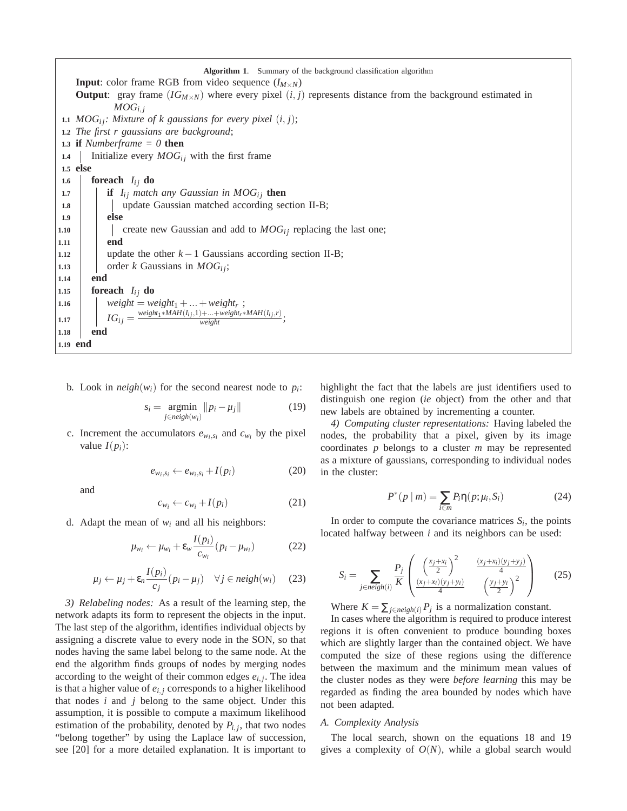**Algorithm 1**. Summary of the background classification algorithm **Input**: color frame RGB from video sequence  $(I_{M\times N})$ **Output**: gray frame  $(IG_{M \times N})$  where every pixel  $(i, j)$  represents distance from the background estimated in  $MOG_{i,j}$ **1.1**  $MOG_i$ *; Mixture of k gaussians for every pixel*  $(i, j)$ ; **1.2** *The first r gaussians are background*; **1.3 if** *Numberframe = 0* **then 1.4** Initialize every  $MOG_i$  with the first frame **1.5 else 1.6 foreach**  $I_{ij}$  **do 1.7 if** *I<sub>ij</sub>* match any Gaussian in  $MOG_i$  then **1.8** | | update Gaussian matched according section II-B; **1.9 else 1.10**  $\vert$  create new Gaussian and add to  $MOG_i$  replacing the last one; **1.11 end 1.12** update the other  $k-1$  Gaussians according section II-B; 1.13  $\vert$  order *k* Gaussians in *MOG*<sup>*i*</sup>; **1.14 end 1.15 foreach**  $I_{ij}$  **do 1.16**  $\left| \right|$  *weight* = *weight*<sub>1</sub> + ... + *weight<sub>r</sub>* ;  $\begin{aligned} \textbf{I.17} \quad | \quad IG_{ij} = \frac{\text{weight}_1 * \text{MAH}(I_{ij}, 1) + ... + \text{weight}_r * \text{MAH}(I_{ij}, r)}{\text{weight}}; \end{aligned}$ **1.18 end 1.19 end**

b. Look in  $neigh(w_i)$  for the second nearest node to  $p_i$ :

$$
s_i = \underset{j \in \text{neigh}(w_i)}{\operatorname{argmin}} \|p_i - \mu_j\| \tag{19}
$$

c. Increment the accumulators  $e_{w_i,s_i}$  and  $c_{w_i}$  by the pixel value  $I(p_i)$ :

$$
e_{w_i,s_i} \leftarrow e_{w_i,s_i} + I(p_i) \tag{20}
$$

and

$$
c_{w_i} \leftarrow c_{w_i} + I(p_i) \tag{21}
$$

d. Adapt the mean of  $w_i$  and all his neighbors:

$$
\mu_{w_i} \leftarrow \mu_{w_i} + \varepsilon_w \frac{I(p_i)}{c_{w_i}} (p_i - \mu_{w_i})
$$
 (22)

$$
\mu_j \leftarrow \mu_j + \varepsilon_n \frac{I(p_i)}{c_j} (p_i - \mu_j) \quad \forall j \in \mathit{neigh}(w_i) \quad (23)
$$

*3) Relabeling nodes:* As a result of the learning step, the network adapts its form to represent the objects in the input. The last step of the algorithm, identifies individual objects by assigning a discrete value to every node in the SON, so that nodes having the same label belong to the same node. At the end the algorithm finds groups of nodes by merging nodes according to the weight of their common edges  $e_{i,j}$ . The idea is that a higher value of *ei*, *<sup>j</sup>* corresponds to a higher likelihood that nodes *i* and *j* belong to the same object. Under this assumption, it is possible to compute a maximum likelihood estimation of the probability, denoted by  $P_{i,j}$ , that two nodes "belong together" by using the Laplace law of succession, see [20] for a more detailed explanation. It is important to highlight the fact that the labels are just identifiers used to distinguish one region (*ie* object) from the other and that new labels are obtained by incrementing a counter.

*4) Computing cluster representations:* Having labeled the nodes, the probability that a pixel, given by its image coordinates *p* belongs to a cluster *m* may be represented as a mixture of gaussians, corresponding to individual nodes in the cluster:

$$
P^*(p \mid m) = \sum_{i \in m} P_i \eta(p; \mu_i, S_i)
$$
 (24)

In order to compute the covariance matrices  $S_i$ , the points located halfway between *i* and its neighbors can be used:

$$
S_{i} = \sum_{j \in neigh(i)} \frac{P_{j}}{K} \left( \frac{\left(\frac{x_{j} + x_{i}}{2}\right)^{2}}{\frac{(x_{j} + x_{i})(y_{j} + y_{i})}{4}} - \frac{\frac{(x_{j} + x_{i})(y_{j} + y_{j})}{4}}{\frac{(y_{j} + y_{i})}{2}} \right)
$$
(25)

Where  $K = \sum_{j \in \text{neigh}(i)} P_j$  is a normalization constant.

In cases where the algorithm is required to produce interest regions it is often convenient to produce bounding boxes which are slightly larger than the contained object. We have computed the size of these regions using the difference between the maximum and the minimum mean values of the cluster nodes as they were *before learning* this may be regarded as finding the area bounded by nodes which have not been adapted.

#### *A. Complexity Analysis*

The local search, shown on the equations 18 and 19 gives a complexity of  $O(N)$ , while a global search would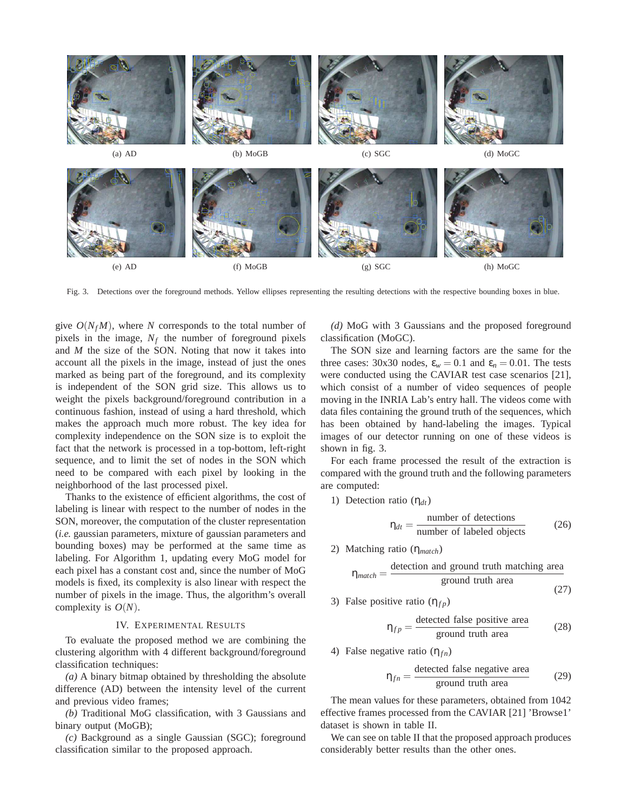

Fig. 3. Detections over the foreground methods. Yellow ellipses representing the resulting detections with the respective bounding boxes in blue.

give  $O(N_f M)$ , where *N* corresponds to the total number of pixels in the image,  $N_f$  the number of foreground pixels and *M* the size of the SON. Noting that now it takes into account all the pixels in the image, instead of just the ones marked as being part of the foreground, and its complexity is independent of the SON grid size. This allows us to weight the pixels background/foreground contribution in a continuous fashion, instead of using a hard threshold, which makes the approach much more robust. The key idea for complexity independence on the SON size is to exploit the fact that the network is processed in a top-bottom, left-right sequence, and to limit the set of nodes in the SON which need to be compared with each pixel by looking in the neighborhood of the last processed pixel.

Thanks to the existence of efficient algorithms, the cost of labeling is linear with respect to the number of nodes in the SON, moreover, the computation of the cluster representation (*i.e.* gaussian parameters, mixture of gaussian parameters and bounding boxes) may be performed at the same time as labeling. For Algorithm 1, updating every MoG model for each pixel has a constant cost and, since the number of MoG models is fixed, its complexity is also linear with respect the number of pixels in the image. Thus, the algorithm's overall complexity is *O*(*N*).

#### IV. EXPERIMENTAL RESULTS

To evaluate the proposed method we are combining the clustering algorithm with 4 different background/foreground classification techniques:

*(a)* A binary bitmap obtained by thresholding the absolute difference (AD) between the intensity level of the current and previous video frames;

*(b)* Traditional MoG classification, with 3 Gaussians and binary output (MoGB);

*(c)* Background as a single Gaussian (SGC); foreground classification similar to the proposed approach.

*(d)* MoG with 3 Gaussians and the proposed foreground classification (MoGC).

The SON size and learning factors are the same for the three cases: 30x30 nodes,  $\varepsilon_w = 0.1$  and  $\varepsilon_n = 0.01$ . The tests were conducted using the CAVIAR test case scenarios [21], which consist of a number of video sequences of people moving in the INRIA Lab's entry hall. The videos come with data files containing the ground truth of the sequences, which has been obtained by hand-labeling the images. Typical images of our detector running on one of these videos is shown in fig. 3.

For each frame processed the result of the extraction is compared with the ground truth and the following parameters are computed:

1) Detection ratio (η*dt*)

$$
\eta_{dt} = \frac{\text{number of detections}}{\text{number of labeled objects}} \tag{26}
$$

2) Matching ratio (η*match*)

$$
\eta_{match} = \frac{\text{detection and ground truth matching area}}{\text{ground truth area}}
$$
\n(27)

3) False positive ratio  $(\eta_{fp})$ 

$$
\eta_{fp} = \frac{\text{detected false positive area}}{\text{ground truth area}} \tag{28}
$$

4) False negative ratio (η<sub>fn</sub>)

$$
\eta_{fn} = \frac{\text{detected false negative area}}{\text{ground truth area}} \tag{29}
$$

The mean values for these parameters, obtained from 1042 effective frames processed from the CAVIAR [21] 'Browse1' dataset is shown in table II.

We can see on table II that the proposed approach produces considerably better results than the other ones.